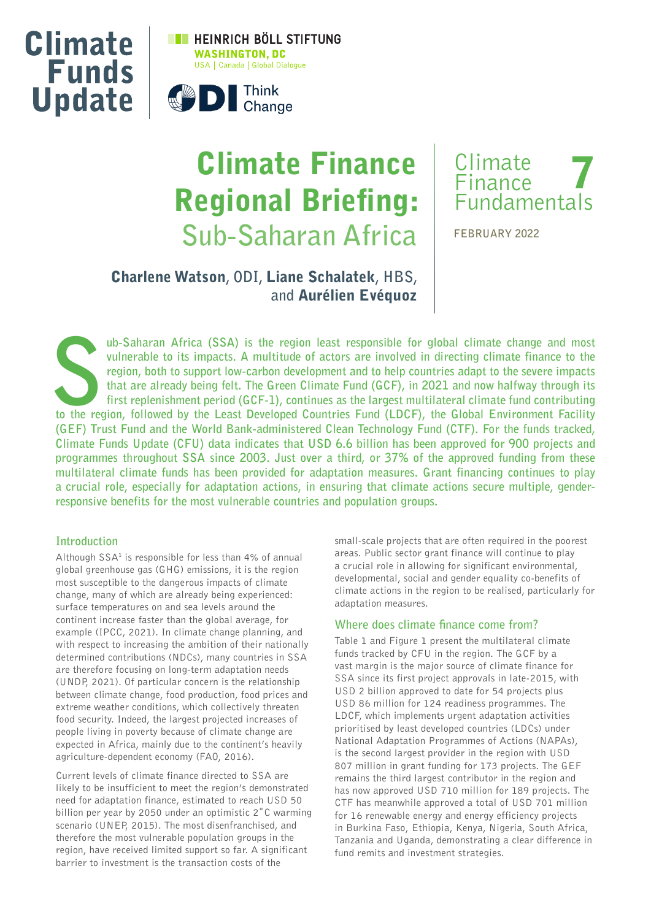



# Climate Finance Regional Briefing: **Sub-Saharan Africa**



**FEBRUARY 2022**

## Charlene Watson**, ODI,** Liane Schalatek**, HBS, and** Aurélien Evéquoz

**to the region, both to support low-carbon development and to help countries adapt to the severe impacts that are already being felt. The Green Climate Fund (GCF), in 2021 and now halfway through its first replenishment pe vulnerable to its impacts. A multitude of actors are involved in directing climate finance to the region, both to support low-carbon development and to help countries adapt to the severe impacts that are already being felt. The Green Climate Fund (GCF), in 2021 and now halfway through its first replenishment period (GCF-1), continues as the largest multilateral climate fund contributing (GEF) Trust Fund and the World Bank-administered Clean Technology Fund (CTF). For the funds tracked, Climate Funds Update (CFU) data indicates that USD 6.6 billion has been approved for 900 projects and programmes throughout SSA since 2003. Just over a third, or 37% of the approved funding from these multilateral climate funds has been provided for adaptation measures. Grant financing continues to play a crucial role, especially for adaptation actions, in ensuring that climate actions secure multiple, genderresponsive benefits for the most vulnerable countries and population groups.**

## **Introduction**

Although SSA<sup>1</sup> is responsible for less than 4% of annual global greenhouse gas (GHG) emissions, it is the region most susceptible to the dangerous impacts of climate change, many of which are already being experienced: surface temperatures on and sea levels around the continent increase faster than the global average, for example (IPCC, 2021). In climate change planning, and with respect to increasing the ambition of their nationally determined contributions (NDCs), many countries in SSA are therefore focusing on long-term adaptation needs (UNDP, 2021). Of particular concern is the relationship between climate change, food production, food prices and extreme weather conditions, which collectively threaten food security. Indeed, the largest projected increases of people living in poverty because of climate change are expected in Africa, mainly due to the continent's heavily agriculture-dependent economy (FAO, 2016).

Current levels of climate finance directed to SSA are likely to be insufficient to meet the region's demonstrated need for adaptation finance, estimated to reach USD 50 billion per year by 2050 under an optimistic 2˚C warming scenario (UNEP, 2015). The most disenfranchised, and therefore the most vulnerable population groups in the region, have received limited support so far. A significant barrier to investment is the transaction costs of the

small-scale projects that are often required in the poorest areas. Public sector grant finance will continue to play a crucial role in allowing for significant environmental, developmental, social and gender equality co-benefits of climate actions in the region to be realised, particularly for adaptation measures.

## **Where does climate finance come from?**

Table 1 and Figure 1 present the multilateral climate funds tracked by CFU in the region. The GCF by a vast margin is the major source of climate finance for SSA since its first project approvals in late-2015, with USD 2 billion approved to date for 54 projects plus USD 86 million for 124 readiness programmes. The LDCF, which implements urgent adaptation activities prioritised by least developed countries (LDCs) under National Adaptation Programmes of Actions (NAPAs), is the second largest provider in the region with USD 807 million in grant funding for 173 projects. The GEF remains the third largest contributor in the region and has now approved USD 710 million for 189 projects. The CTF has meanwhile approved a total of USD 701 million for 16 renewable energy and energy efficiency projects in Burkina Faso, Ethiopia, Kenya, Nigeria, South Africa, Tanzania and Uganda, demonstrating a clear difference in fund remits and investment strategies.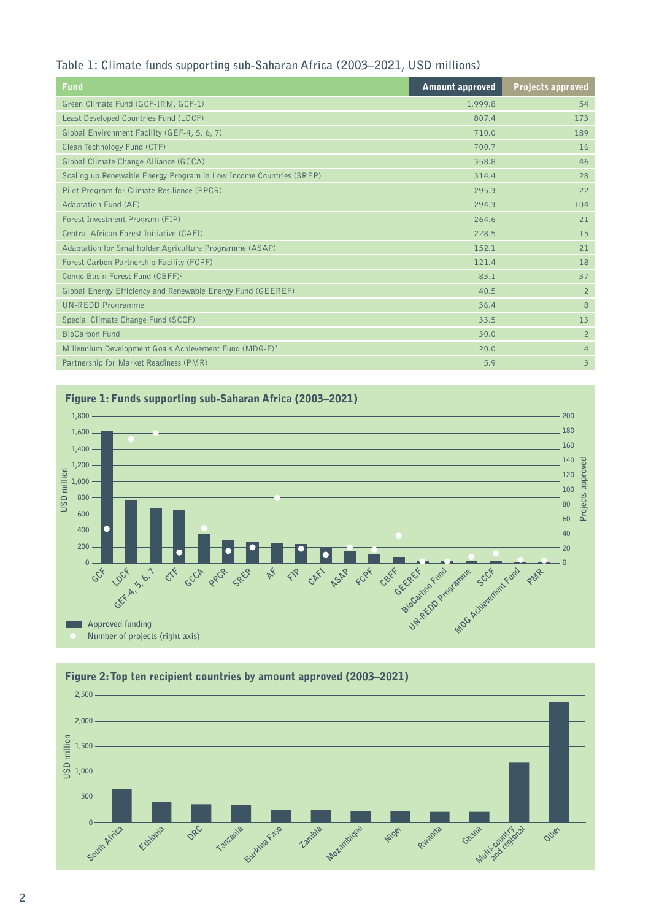## **Table 1: Climate funds supporting sub-Saharan Africa (2003–2021, USD millions)**

| Fund                                                               | <b>Amount approved</b> | <b>Projects approved</b> |
|--------------------------------------------------------------------|------------------------|--------------------------|
| Green Climate Fund (GCF-IRM, GCF-1)                                | 1,999.8                | 54                       |
| Least Developed Countries Fund (LDCF)                              | 807.4                  | 173                      |
| Global Environment Facility (GEF-4, 5, 6, 7)                       | 710.0                  | 189                      |
| Clean Technology Fund (CTF)                                        | 700.7                  | 16                       |
| Global Climate Change Alliance (GCCA)                              | 358.8                  | 46                       |
| Scaling up Renewable Energy Program in Low Income Countries (SREP) | 314.4                  | 28                       |
| Pilot Program for Climate Resilience (PPCR)                        | 295.3                  | 22                       |
| <b>Adaptation Fund (AF)</b>                                        | 294.3                  | 104                      |
| Forest Investment Program (FIP)                                    | 264.6                  | 21                       |
| Central African Forest Initiative (CAFI)                           | 228.5                  | 15                       |
| Adaptation for Smallholder Agriculture Programme (ASAP)            | 152.1                  | 21                       |
| Forest Carbon Partnership Facility (FCPF)                          | 121.4                  | 18                       |
| Congo Basin Forest Fund (CBFF) <sup>2</sup>                        | 83.1                   | 37                       |
| Global Energy Efficiency and Renewable Energy Fund (GEEREF)        | 40.5                   | $\overline{2}$           |
| <b>UN-REDD Programme</b>                                           | 36.4                   | $\mathbf{8}$             |
| Special Climate Change Fund (SCCF)                                 | 33.5                   | 13                       |
| <b>BioCarbon Fund</b>                                              | 30.0                   | $\overline{2}$           |
| Millennium Development Goals Achievement Fund (MDG-F) <sup>3</sup> | 20.0                   | $\overline{4}$           |
| Partnership for Market Readiness (PMR)                             | 5.9                    | $\overline{3}$           |



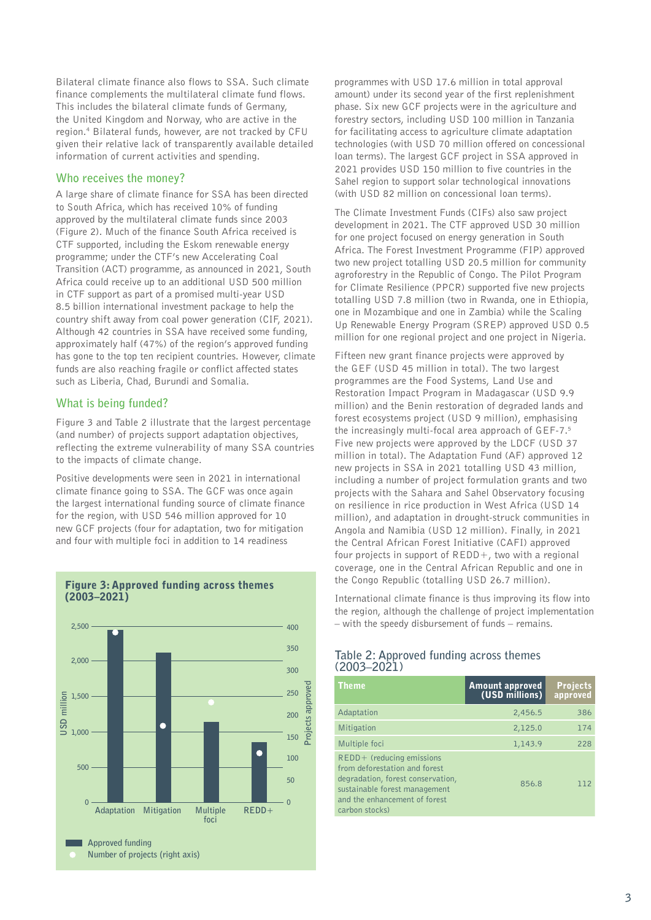Bilateral climate finance also flows to SSA. Such climate finance complements the multilateral climate fund flows. This includes the bilateral climate funds of Germany, the United Kingdom and Norway, who are active in the region.4 Bilateral funds, however, are not tracked by CFU given their relative lack of transparently available detailed information of current activities and spending.

## **Who receives the money?**

A large share of climate finance for SSA has been directed to South Africa, which has received 10% of funding approved by the multilateral climate funds since 2003 (Figure 2). Much of the finance South Africa received is CTF supported, including the Eskom renewable energy programme; under the CTF's new Accelerating Coal Transition (ACT) programme, as announced in 2021, South Africa could receive up to an additional USD 500 million in CTF support as part of a promised multi-year USD 8.5 billion international investment package to help the country shift away from coal power generation (CIF, 2021). Although 42 countries in SSA have received some funding, approximately half (47%) of the region's approved funding has gone to the top ten recipient countries. However, climate funds are also reaching fragile or conflict affected states such as Liberia, Chad, Burundi and Somalia.

## **What is being funded?**

Figure 3 and Table 2 illustrate that the largest percentage (and number) of projects support adaptation objectives, reflecting the extreme vulnerability of many SSA countries to the impacts of climate change.

Positive developments were seen in 2021 in international climate finance going to SSA. The GCF was once again the largest international funding source of climate finance for the region, with USD 546 million approved for 10 new GCF projects (four for adaptation, two for mitigation and four with multiple foci in addition to 14 readiness



#### Figure 3: Approved funding across themes (2003–2021)

programmes with USD 17.6 million in total approval amount) under its second year of the first replenishment phase. Six new GCF projects were in the agriculture and forestry sectors, including USD 100 million in Tanzania for facilitating access to agriculture climate adaptation technologies (with USD 70 million offered on concessional loan terms). The largest GCF project in SSA approved in 2021 provides USD 150 million to five countries in the Sahel region to support solar technological innovations (with USD 82 million on concessional loan terms).

The Climate Investment Funds (CIFs) also saw project development in 2021. The CTF approved USD 30 million for one project focused on energy generation in South Africa. The Forest Investment Programme (FIP) approved two new project totalling USD 20.5 million for community agroforestry in the Republic of Congo. The Pilot Program for Climate Resilience (PPCR) supported five new projects totalling USD 7.8 million (two in Rwanda, one in Ethiopia, one in Mozambique and one in Zambia) while the Scaling Up Renewable Energy Program (SREP) approved USD 0.5 million for one regional project and one project in Nigeria.

Fifteen new grant finance projects were approved by the GEF (USD 45 million in total). The two largest programmes are the Food Systems, Land Use and Restoration Impact Program in Madagascar (USD 9.9 million) and the Benin restoration of degraded lands and forest ecosystems project (USD 9 million), emphasising the increasingly multi-focal area approach of GEF-7.<sup>5</sup> Five new projects were approved by the LDCF (USD 37 million in total). The Adaptation Fund (AF) approved 12 new projects in SSA in 2021 totalling USD 43 million, including a number of project formulation grants and two projects with the Sahara and Sahel Observatory focusing on resilience in rice production in West Africa (USD 14 million), and adaptation in drought-struck communities in Angola and Namibia (USD 12 million). Finally, in 2021 the Central African Forest Initiative (CAFI) approved four projects in support of  $REDD+$ , two with a regional coverage, one in the Central African Republic and one in the Congo Republic (totalling USD 26.7 million).

International climate finance is thus improving its flow into the region, although the challenge of project implementation – with the speedy disbursement of funds – remains.

## **Table 2: Approved funding across themes (2003–2021)**

| Theme                                                                                                                                                                                 | <b>Amount approved</b><br>(USD millions) | <b>Projects</b><br>approved |
|---------------------------------------------------------------------------------------------------------------------------------------------------------------------------------------|------------------------------------------|-----------------------------|
| Adaptation                                                                                                                                                                            | 2,456.5                                  | 386                         |
| Mitigation                                                                                                                                                                            | 2,125.0                                  | 174                         |
| Multiple foci                                                                                                                                                                         | 1,143.9                                  | 228                         |
| $REDD+$ (reducing emissions<br>from deforestation and forest<br>degradation, forest conservation,<br>sustainable forest management<br>and the enhancement of forest<br>carbon stocks) | 856.8                                    | 112                         |